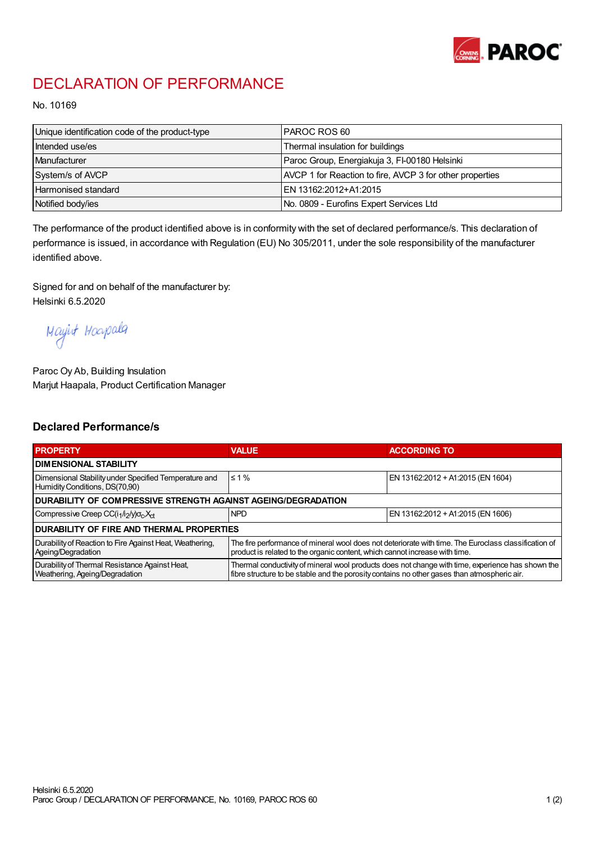

## DECLARATION OF PERFORMANCE

No. 10169

| Unique identification code of the product-type | I PAROC ROS 60                                           |
|------------------------------------------------|----------------------------------------------------------|
| Intended use/es                                | Thermal insulation for buildings                         |
| Manufacturer                                   | Paroc Group, Energiakuja 3, FI-00180 Helsinki            |
| System/s of AVCP                               | AVCP 1 for Reaction to fire, AVCP 3 for other properties |
| <b>Harmonised standard</b>                     | EN 13162:2012+A1:2015                                    |
| Notified body/ies                              | No. 0809 - Eurofins Expert Services Ltd                  |

The performance of the product identified above is in conformity with the set of declared performance/s. This declaration of performance is issued, in accordance with Regulation (EU) No 305/2011, under the sole responsibility of the manufacturer identified above.

Signed for and on behalf of the manufacturer by: Helsinki 6.5.2020

Mayirt Hoapala

Paroc Oy Ab, Building Insulation Marjut Haapala, Product Certification Manager

## Declared Performance/s

| <b>PROPERTY</b>                                                                         | <b>VALUE</b>                                                                                                                                                                                     | <b>ACCORDING TO</b>               |  |  |
|-----------------------------------------------------------------------------------------|--------------------------------------------------------------------------------------------------------------------------------------------------------------------------------------------------|-----------------------------------|--|--|
| <b>I DIMENSIONAL STABILITY</b>                                                          |                                                                                                                                                                                                  |                                   |  |  |
| Dimensional Stability under Specified Temperature and<br>Humidity Conditions, DS(70,90) | $\leq 1\%$                                                                                                                                                                                       | EN 13162:2012 + A1:2015 (EN 1604) |  |  |
| <b>DURABILITY OF COMPRESSIVE STRENGTH AGAINST AGEING/DEGRADATION</b>                    |                                                                                                                                                                                                  |                                   |  |  |
| Compressive Creep CC(i <sub>1</sub> /i <sub>2</sub> /y) $\sigma_c X_{ct}$               | <b>NPD</b>                                                                                                                                                                                       | EN 13162:2012 + A1:2015 (EN 1606) |  |  |
| IDURABILITY OF FIRE AND THERMAL PROPERTIES                                              |                                                                                                                                                                                                  |                                   |  |  |
| Durability of Reaction to Fire Against Heat, Weathering,<br>Ageing/Degradation          | The fire performance of mineral wool does not deteriorate with time. The Euroclass classification of<br>product is related to the organic content, which cannot increase with time.              |                                   |  |  |
| Durability of Thermal Resistance Against Heat,<br>Weathering, Ageing/Degradation        | Thermal conductivity of mineral wool products does not change with time, experience has shown the<br>fibre structure to be stable and the porosity contains no other gases than atmospheric air. |                                   |  |  |